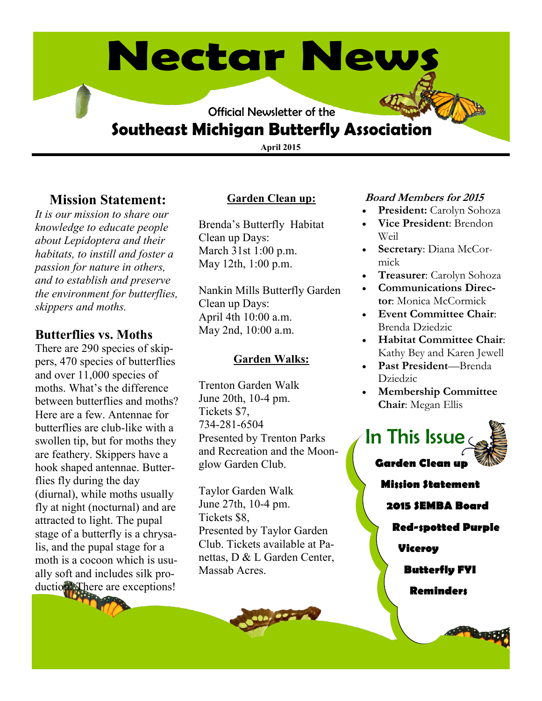# **Nectar News**

Official Newsletter of the

## **Southeast Michigan Butterfly Association**

**April 2015**

### **Mission Statement:**

*It is our mission to share our knowledge to educate people about Lepidoptera and their habitats, to instill and foster a passion for nature in others, and to establish and preserve the environment for butterflies, skippers and moths.* 

#### **Butterflies vs. Moths**

There are 290 species of skippers, 470 species of butterflies and over 11,000 species of moths. What's the difference between butterflies and moths? Here are a few. Antennae for butterflies are club-like with a swollen tip, but for moths they are feathery. Skippers have a hook shaped antennae. Butterflies fly during the day (diurnal), while moths usually fly at night (nocturnal) and are attracted to light. The pupal stage of a butterfly is a chrysalis, and the pupal stage for a moth is a cocoon which is usually soft and includes silk production! There are exceptions!

#### **Garden Clean up:**

Brenda's Butterfly Habitat Clean up Days: March 31st 1:00 p.m. May 12th, 1:00 p.m.

Nankin Mills Butterfly Garden Clean up Days: April 4th 10:00 a.m. May 2nd, 10:00 a.m.

#### **Garden Walks:**

Trenton Garden Walk June 20th, 10-4 pm. Tickets \$7, 734-281-6504 Presented by Trenton Parks and Recreation and the Moonglow Garden Club.

Taylor Garden Walk June 27th, 10-4 pm. Tickets \$8, Presented by Taylor Garden Club. Tickets available at Panettas, D & L Garden Center, Massab Acres.

#### **Board Members for 2015**

- **President:** Carolyn Sohoza
- **Vice President**: Brendon Weil
- **Secretary**: Diana McCormick
- **Treasurer**: Carolyn Sohoza
- **Communications Director**: Monica McCormick
- **Event Committee Chair**: Brenda Dziedzic
- **Habitat Committee Chair**: Kathy Bey and Karen Jewell
- **Past President**—Brenda Dziedzic
- **Membership Committee Chair**: Megan Ellis



**2015 SEMBA Board**

**Red-spotted Purple**

#### **Viceroy**

**Butterfly FYI**

**Reminders**

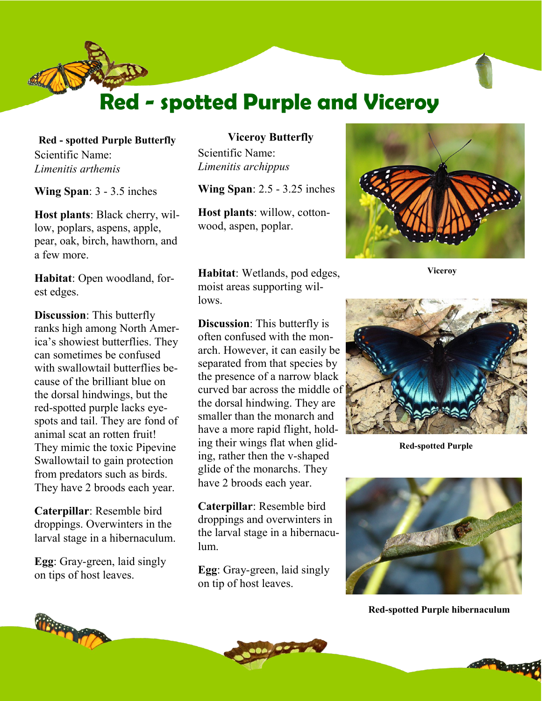

**Red - spotted Purple Butterfly** Scientific Name: *Limenitis arthemis*

**Wing Span**: 3 - 3.5 inches

**Host plants**: Black cherry, willow, poplars, aspens, apple, pear, oak, birch, hawthorn, and a few more.

**Habitat**: Open woodland, forest edges.

**Discussion**: This butterfly ranks high among North America's showiest butterflies. They can sometimes be confused with swallowtail butterflies because of the brilliant blue on the dorsal hindwings, but the red-spotted purple lacks eyespots and tail. They are fond of animal scat an rotten fruit! They mimic the toxic Pipevine Swallowtail to gain protection from predators such as birds. They have 2 broods each year.

**Caterpillar**: Resemble bird droppings. Overwinters in the larval stage in a hibernaculum.

**Egg**: Gray-green, laid singly on tips of host leaves.

**Viceroy Butterfly** Scientific Name: *Limenitis archippus*

**Wing Span**: 2.5 - 3.25 inches

**Host plants**: willow, cottonwood, aspen, poplar.

**Habitat**: Wetlands, pod edges, moist areas supporting willows.

**Discussion**: This butterfly is often confused with the monarch. However, it can easily be separated from that species by the presence of a narrow black curved bar across the middle of the dorsal hindwing. They are smaller than the monarch and have a more rapid flight, holding their wings flat when gliding, rather then the v-shaped glide of the monarchs. They have 2 broods each year.

**Caterpillar**: Resemble bird droppings and overwinters in the larval stage in a hibernaculum.

**Egg**: Gray-green, laid singly on tip of host leaves.



**Viceroy**



**Red-spotted Purple**



**Red-spotted Purple hibernaculum**



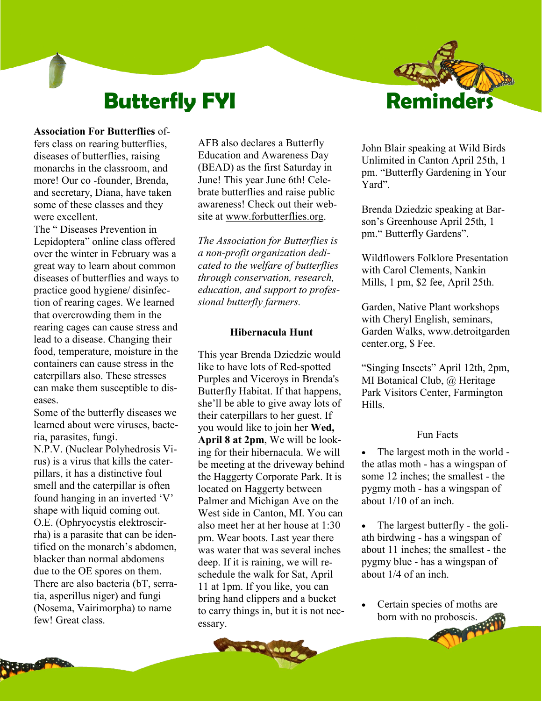## **Butterfly FYI**

#### **Association For Butterflies** of-

fers class on rearing butterflies, diseases of butterflies, raising monarchs in the classroom, and more! Our co -founder, Brenda, and secretary, Diana, have taken some of these classes and they were excellent.

The " Diseases Prevention in Lepidoptera" online class offered over the winter in February was a great way to learn about common diseases of butterflies and ways to practice good hygiene/ disinfection of rearing cages. We learned that overcrowding them in the rearing cages can cause stress and lead to a disease. Changing their food, temperature, moisture in the containers can cause stress in the caterpillars also. These stresses can make them susceptible to diseases.

Some of the butterfly diseases we learned about were viruses, bacteria, parasites, fungi. N.P.V. (Nuclear Polyhedrosis Vi-

rus) is a virus that kills the caterpillars, it has a distinctive foul smell and the caterpillar is often found hanging in an inverted 'V' shape with liquid coming out. O.E. (Ophryocystis elektroscirrha) is a parasite that can be identified on the monarch's abdomen, blacker than normal abdomens due to the OE spores on them. There are also bacteria (bT, serratia, asperillus niger) and fungi (Nosema, Vairimorpha) to name few! Great class.

AFB also declares a Butterfly Education and Awareness Day (BEAD) as the first Saturday in June! This year June 6th! Celebrate butterflies and raise public awareness! Check out their website at www.forbutterflies.org.

*The Association for Butterflies is a non-profit organization dedicated to the welfare of butterflies through conservation, research, education, and support to professional butterfly farmers.*

#### **Hibernacula Hunt**

This year Brenda Dziedzic would like to have lots of Red-spotted Purples and Viceroys in Brenda's Butterfly Habitat. If that happens, she'll be able to give away lots of their caterpillars to her guest. If you would like to join her **Wed, April 8 at 2pm**, We will be looking for their hibernacula. We will be meeting at the driveway behind the Haggerty Corporate Park. It is located on Haggerty between Palmer and Michigan Ave on the West side in Canton, MI. You can also meet her at her house at 1:30 pm. Wear boots. Last year there was water that was several inches deep. If it is raining, we will reschedule the walk for Sat, April 11 at 1pm. If you like, you can bring hand clippers and a bucket to carry things in, but it is not necessary.

John Blair speaking at Wild Birds Unlimited in Canton April 25th, 1 pm. "Butterfly Gardening in Your Yard".

**Remind** 

Brenda Dziedzic speaking at Barson's Greenhouse April 25th, 1 pm." Butterfly Gardens".

Wildflowers Folklore Presentation with Carol Clements, Nankin Mills, 1 pm, \$2 fee, April 25th.

Garden, Native Plant workshops with Cheryl English, seminars, Garden Walks, www.detroitgarden center.org, \$ Fee.

"Singing Insects" April 12th, 2pm, MI Botanical Club, @ Heritage Park Visitors Center, Farmington Hills.

#### Fun Facts

 The largest moth in the world the atlas moth - has a wingspan of some 12 inches; the smallest - the pygmy moth - has a wingspan of about 1/10 of an inch.

 The largest butterfly - the goliath birdwing - has a wingspan of about 11 inches; the smallest - the pygmy blue - has a wingspan of about 1/4 of an inch.

 Certain species of moths are born with no proboscis.